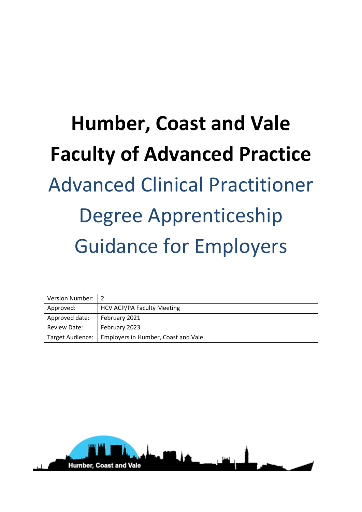# **Humber, Coast and Vale Faculty of Advanced Practice**  Advanced Clinical Practitioner Degree Apprenticeship Guidance for Employers

| <b>Version Number:</b> |                                     |
|------------------------|-------------------------------------|
| Approved:              | <b>HCV ACP/PA Faculty Meeting</b>   |
| Approved date:         | February 2021                       |
| <b>Review Date:</b>    | February 2023                       |
| Target Audience:       | Employers in Humber, Coast and Vale |

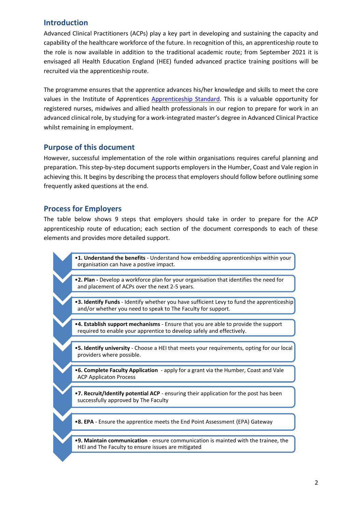# **Introduction**

Advanced Clinical Practitioners (ACPs) play a key part in developing and sustaining the capacity and capability of the healthcare workforce of the future. In recognition of this, an apprenticeship route to the role is now available in addition to the traditional academic route; from September 2021 it is envisaged all Health Education England (HEE) funded advanced practice training positions will be recruited via the apprenticeship route.

The programme ensures that the apprentice advances his/her knowledge and skills to meet the core values in the Institute of Apprentices [Apprenticeship Standard.](https://www.instituteforapprenticeships.org/apprenticeship-standards/advanced-clinical-practitioner-(integrated-degree)-v1-0) This is a valuable opportunity for registered nurses, midwives and allied health professionals in our region to prepare for work in an advanced clinical role, by studying for a work-integrated master's degree in Advanced Clinical Practice whilst remaining in employment.

#### **Purpose of this document**

However, successful implementation of the role within organisations requires careful planning and preparation. This step-by-step document supports employers in the Humber, Coast and Vale region in achieving this. It begins by describing the process that employers should follow before outlining some frequently asked questions at the end.

# **Process for Employers**

The table below shows 9 steps that employers should take in order to prepare for the ACP apprenticeship route of education; each section of the document corresponds to each of these elements and provides more detailed support.

> •**1. Understand the benefits** - [Understand how embedding apprenticeships within your](#page-2-0)  organisation can have a postive impact.

•**2. Plan -** [Develop a workforce plan for your organisation that identifies the need for](#page-2-1)  and placement of ACPs over the next 2-5 years.

- •**3. Identify Funds**  [Identify whether you have sufficient Levy to fund the apprenticeship](#page-3-0)  and/or whether you need to speak to The Faculty for support.
- •**4. Establish support mechanisms**  Ensure that you are able to provide the support [required to enable your apprentice to develop safely and effectively.](#page-4-0)
- •**5. Identify university**  [Choose a HEI that meets your requirements, opting for our local](#page-5-0)  providers where possible.
- •**6. Complete Faculty Application**  [apply for a grant via the Humber, Coast and Vale](#page-6-0)  ACP Applicaton Process
- •**7. Recruit/Identify potential ACP**  [ensuring their application for the post has been](#page-6-1)  successfully approved by The Faculty
- •**8. EPA**  [Ensure the apprentice meets the End Point Assessment \(EPA\) Gateway](#page-7-0)
- •**9. Maintain communication**  ensure communication is mainted with the trainee, the HEI and The Faculty to ensure issues are mitigated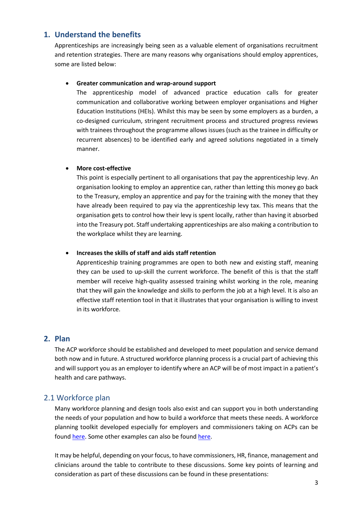# **1. Understand the benefits**

<span id="page-2-0"></span>Apprenticeships are increasingly being seen as a valuable element of organisations recruitment and retention strategies. There are many reasons why organisations should employ apprentices, some are listed below:

#### **Greater communication and wrap-around support**

The apprenticeship model of advanced practice education calls for greater communication and collaborative working between employer organisations and Higher Education Institutions (HEIs). Whilst this may be seen by some employers as a burden, a co-designed curriculum, stringent recruitment process and structured progress reviews with trainees throughout the programme allows issues (such as the trainee in difficulty or recurrent absences) to be identified early and agreed solutions negotiated in a timely manner.

#### **More cost-effective**

This point is especially pertinent to all organisations that pay the apprenticeship levy. An organisation looking to employ an apprentice can, rather than letting this money go back to the Treasury, employ an apprentice and pay for the training with the money that they have already been required to pay via the apprenticeship levy tax. This means that the organisation gets to control how their levy is spent locally, rather than having it absorbed into the Treasury pot. Staff undertaking apprenticeships are also making a contribution to the workplace whilst they are learning.

#### **Increases the skills of staff and aids staff retention**

Apprenticeship training programmes are open to both new and existing staff, meaning they can be used to up-skill the current workforce. The benefit of this is that the staff member will receive high-quality assessed training whilst working in the role, meaning that they will gain the knowledge and skills to perform the job at a high level. It is also an effective staff retention tool in that it illustrates that your organisation is willing to invest in its workforce.

## **2. Plan**

<span id="page-2-1"></span>The ACP workforce should be established and developed to meet population and service demand both now and in future. A structured workforce planning process is a crucial part of achieving this and will support you as an employer to identify where an ACP will be of most impact in a patient's health and care pathways.

# 2.1 Workforce plan

Many workforce planning and design tools also exist and can support you in both understanding the needs of your population and how to build a workforce that meets these needs. A workforce planning toolkit developed especially for employers and commissioners taking on ACPs can be found [here.](https://cs1.e-learningforhealthcare.org.uk/public/ACP/ACP_01_001/index.html#/id/5ca6303fa5d9f21905f56774) Some other examples can also be foun[d here.](https://cs1.e-learningforhealthcare.org.uk/public/ACP/ACP_01_001/course/assets/Workforce-Planning-and-Modelling-Tools.pdf)

It may be helpful, depending on your focus, to have commissioners, HR, finance, management and clinicians around the table to contribute to these discussions. Some key points of learning and consideration as part of these discussions can be found in these presentations: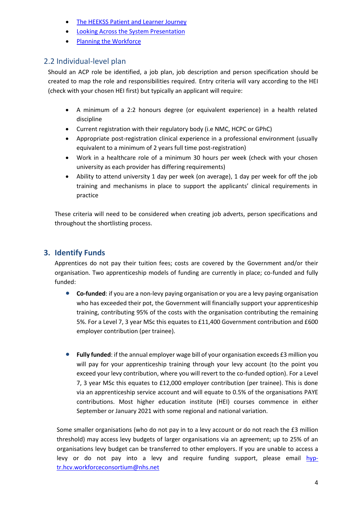- [The HEEKSS Patient and Learner Journey](https://cs1.e-learningforhealthcare.org.uk/public/ACP/ACP_01_001/course/assets/The-HEEKSS-Patient-and-Learner-Journey.pdf)
- [Looking Across the System Presentation](https://cs1.e-learningforhealthcare.org.uk/public/ACP/ACP_01_001/course/assets/ACP-Apprenticeship-Presentation.pdf)
- [Planning the Workforce](https://cs1.e-learningforhealthcare.org.uk/public/ACP/ACP_01_001/course/assets/Planning-the-Workforce.pptx)

# 2.2 Individual-level plan

Should an ACP role be identified, a job plan, job description and person specification should be created to map the role and responsibilities required. Entry criteria will vary according to the HEI (check with your chosen HEI first) but typically an applicant will require:

- A minimum of a 2:2 honours degree (or equivalent experience) in a health related discipline
- Current registration with their regulatory body (i.e NMC, HCPC or GPhC)
- Appropriate post-registration clinical experience in a professional environment (usually equivalent to a minimum of 2 years full time post-registration)
- Work in a healthcare role of a minimum 30 hours per week (check with your chosen university as each provider has differing requirements)
- Ability to attend university 1 day per week (on average), 1 day per week for off the job training and mechanisms in place to support the applicants' clinical requirements in practice

These criteria will need to be considered when creating job adverts, person specifications and throughout the shortlisting process.

# **3. Identify Funds**

<span id="page-3-0"></span>Apprentices do not pay their tuition fees; costs are covered by the Government and/or their organisation. Two apprenticeship models of funding are currently in place; co-funded and fully funded:

- **Co-funded**: if you are a non-levy paying organisation or you are a levy paying organisation who has exceeded their pot, the Government will financially support your apprenticeship training, contributing 95% of the costs with the organisation contributing the remaining 5%. For a Level 7, 3 year MSc this equates to £11,400 Government contribution and £600 employer contribution (per trainee).
- Fully funded: if the annual employer wage bill of your organisation exceeds £3 million you will pay for your apprenticeship training through your levy account (to the point you exceed your levy contribution, where you will revert to the co-funded option). For a Level 7, 3 year MSc this equates to £12,000 employer contribution (per trainee). This is done via an apprenticeship service account and will equate to 0.5% of the organisations PAYE contributions. Most higher education institute (HEI) courses commence in either September or January 2021 with some regional and national variation.

Some smaller organisations (who do not pay in to a levy account or do not reach the £3 million threshold) may access levy budgets of larger organisations via an agreement; up to 25% of an organisations levy budget can be transferred to other employers. If you are unable to access a levy or do not pay into a levy and require funding support, please email [hyp](mailto:hyp-tr.hcv.workforceconsortium@nhs.net)[tr.hcv.workforceconsortium@nhs.net](mailto:hyp-tr.hcv.workforceconsortium@nhs.net)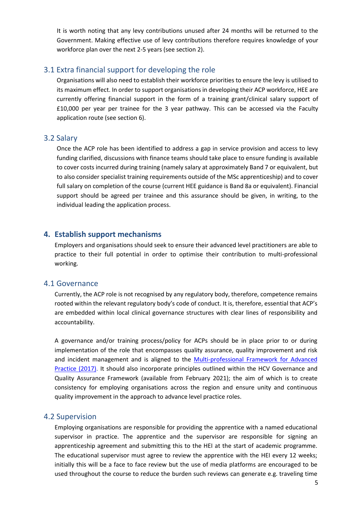It is worth noting that any levy contributions unused after 24 months will be returned to the Government. Making effective use of levy contributions therefore requires knowledge of your workforce plan over the next 2-5 years (see section 2).

#### 3.1 Extra financial support for developing the role

Organisations will also need to establish their workforce priorities to ensure the levy is utilised to its maximum effect. In order to support organisations in developing their ACP workforce, HEE are currently offering financial support in the form of a training grant/clinical salary support of £10,000 per year per trainee for the 3 year pathway. This can be accessed via the Faculty application route (see section 6).

#### 3.2 Salary

Once the ACP role has been identified to address a gap in service provision and access to levy funding clarified, discussions with finance teams should take place to ensure funding is available to cover costs incurred during training (namely salary at approximately Band 7 or equivalent, but to also consider specialist training requirements outside of the MSc apprenticeship) and to cover full salary on completion of the course (current HEE guidance is Band 8a or equivalent). Financial support should be agreed per trainee and this assurance should be given, in writing, to the individual leading the application process.

#### **4. Establish support mechanisms**

<span id="page-4-0"></span>Employers and organisations should seek to ensure their advanced level practitioners are able to practice to their full potential in order to optimise their contribution to multi-professional working.

#### 4.1 Governance

Currently, the ACP role is not recognised by any regulatory body, therefore, competence remains rooted within the relevant regulatory body's code of conduct. It is, therefore, essential that ACP's are embedded within local clinical governance structures with clear lines of responsibility and accountability.

A governance and/or training process/policy for ACPs should be in place prior to or during implementation of the role that encompasses quality assurance, quality improvement and risk and incident management and is aligned to the [Multi-professional Framework for Advanced](https://www.hee.nhs.uk/sites/default/files/documents/Multi-professional%20framework%20for%20advanced%20clinical%20practice%20in%20England.pdf)  [Practice \(2017\).](https://www.hee.nhs.uk/sites/default/files/documents/Multi-professional%20framework%20for%20advanced%20clinical%20practice%20in%20England.pdf) It should also incorporate principles outlined within the HCV Governance and Quality Assurance Framework (available from February 2021); the aim of which is to create consistency for employing organisations across the region and ensure unity and continuous quality improvement in the approach to advance level practice roles.

#### 4.2 Supervision

Employing organisations are responsible for providing the apprentice with a named educational supervisor in practice. The apprentice and the supervisor are responsible for signing an apprenticeship agreement and submitting this to the HEI at the start of academic programme. The educational supervisor must agree to review the apprentice with the HEI every 12 weeks; initially this will be a face to face review but the use of media platforms are encouraged to be used throughout the course to reduce the burden such reviews can generate e.g. traveling time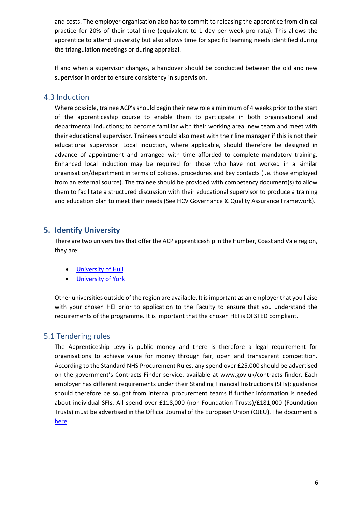and costs. The employer organisation also has to commit to releasing the apprentice from clinical practice for 20% of their total time (equivalent to 1 day per week pro rata). This allows the apprentice to attend university but also allows time for specific learning needs identified during the triangulation meetings or during appraisal.

If and when a supervisor changes, a handover should be conducted between the old and new supervisor in order to ensure consistency in supervision.

#### 4.3 Induction

Where possible, trainee ACP's should begin their new role a minimum of 4 weeks prior to the start of the apprenticeship course to enable them to participate in both organisational and departmental inductions; to become familiar with their working area, new team and meet with their educational supervisor. Trainees should also meet with their line manager if this is not their educational supervisor. Local induction, where applicable, should therefore be designed in advance of appointment and arranged with time afforded to complete mandatory training. Enhanced local induction may be required for those who have not worked in a similar organisation/department in terms of policies, procedures and key contacts (i.e. those employed from an external source). The trainee should be provided with competency document(s) to allow them to facilitate a structured discussion with their educational supervisor to produce a training and education plan to meet their needs (See HCV Governance & Quality Assurance Framework).

#### **5. Identify University**

<span id="page-5-0"></span>There are two universities that offer the ACP apprenticeship in the Humber, Coast and Vale region, they are:

- [University of Hull](https://www.hull.ac.uk/)
- [University of York](https://www.york.ac.uk/)

Other universities outside of the region are available. It is important as an employer that you liaise with your chosen HEI prior to application to the Faculty to ensure that you understand the requirements of the programme. It is important that the chosen HEI is OFSTED compliant.

#### 5.1 Tendering rules

The Apprenticeship Levy is public money and there is therefore a legal requirement for organisations to achieve value for money through fair, open and transparent competition. According to the Standard NHS Procurement Rules, any spend over £25,000 should be advertised on the government's Contracts Finder service, available at www.gov.uk/contracts-finder. Each employer has different requirements under their Standing Financial Instructions (SFIs); guidance should therefore be sought from internal procurement teams if further information is needed about individual SFIs. All spend over £118,000 (non-Foundation Trusts)/£181,000 (Foundation Trusts) must be advertised in the Official Journal of the European Union (OJEU). The document is [here.](https://haso.skillsforhealth.org.uk/wp-content/uploads/2019/04/3548-HEE-Apprenticeship-Procurement-Toolkit-v4-interactive-for-web.pdf)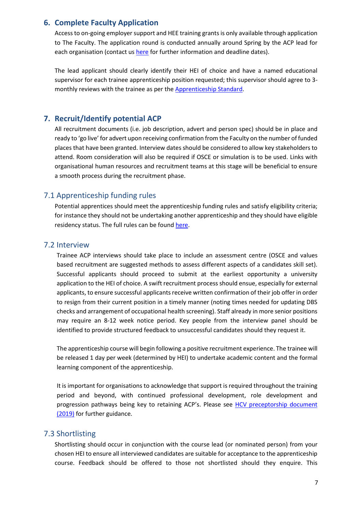# **6. Complete Faculty Application**

<span id="page-6-0"></span>Access to on-going employer support and HEE training grants is only available through application to The Faculty. The application round is conducted annually around Spring by the ACP lead for each organisation (contact us [here](mailto:carly.mcintyre1@nhs.net) for further information and deadline dates).

The lead applicant should clearly identify their HEI of choice and have a named educational supervisor for each trainee apprenticeship position requested; this supervisor should agree to 3 monthly reviews with the trainee as per the [Apprenticeship Standard.](https://www.instituteforapprenticeships.org/apprenticeship-standards/advanced-clinical-practitioner-(integrated-degree)-v1-0)

# **7. Recruit/Identify potential ACP**

<span id="page-6-1"></span>All recruitment documents (i.e. job description, advert and person spec) should be in place and ready to 'go live' for advert upon receiving confirmation from the Faculty on the number of funded places that have been granted. Interview dates should be considered to allow key stakeholders to attend. Room consideration will also be required if OSCE or simulation is to be used. Links with organisational human resources and recruitment teams at this stage will be beneficial to ensure a smooth process during the recruitment phase.

# 7.1 Apprenticeship funding rules

Potential apprentices should meet the apprenticeship funding rules and satisfy eligibility criteria; for instance they should not be undertaking another apprenticeship and they should have eligible residency status. The full rules can be foun[d here.](https://assets.publishing.service.gov.uk/government/uploads/system/uploads/attachment_data/file/857046/1920_Employer_Rules_Version_2.0_FINAL.pdf)

#### 7.2 Interview

Trainee ACP interviews should take place to include an assessment centre (OSCE and values based recruitment are suggested methods to assess different aspects of a candidates skill set). Successful applicants should proceed to submit at the earliest opportunity a university application to the HEI of choice. A swift recruitment process should ensue, especially for external applicants, to ensure successful applicants receive written confirmation of their job offer in order to resign from their current position in a timely manner (noting times needed for updating DBS checks and arrangement of occupational health screening). Staff already in more senior positions may require an 8-12 week notice period. Key people from the interview panel should be identified to provide structured feedback to unsuccessful candidates should they request it.

The apprenticeship course will begin following a positive recruitment experience. The trainee will be released 1 day per week (determined by HEI) to undertake academic content and the formal learning component of the apprenticeship.

It is important for organisations to acknowledge that support is required throughout the training period and beyond, with continued professional development, role development and progression pathways being key to retaining ACP's. Please see [HCV preceptorship document](https://humbercoastandvale.org.uk/wp-content/uploads/2019/07/HCV-Preceptorship-Final.pdf)  [\(2019\)](https://humbercoastandvale.org.uk/wp-content/uploads/2019/07/HCV-Preceptorship-Final.pdf) for further guidance.

#### 7.3 Shortlisting

Shortlisting should occur in conjunction with the course lead (or nominated person) from your chosen HEI to ensure all interviewed candidates are suitable for acceptance to the apprenticeship course. Feedback should be offered to those not shortlisted should they enquire. This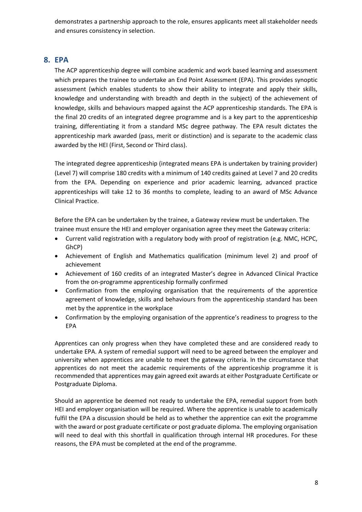demonstrates a partnership approach to the role, ensures applicants meet all stakeholder needs and ensures consistency in selection.

# **8. EPA**

<span id="page-7-0"></span>The ACP apprenticeship degree will combine academic and work based learning and assessment which prepares the trainee to undertake an End Point Assessment (EPA). This provides synoptic assessment (which enables students to show their ability to integrate and apply their skills, knowledge and understanding with breadth and depth in the subject) of the achievement of knowledge, skills and behaviours mapped against the ACP apprenticeship standards. The EPA is the final 20 credits of an integrated degree programme and is a key part to the apprenticeship training, differentiating it from a standard MSc degree pathway. The EPA result dictates the apprenticeship mark awarded (pass, merit or distinction) and is separate to the academic class awarded by the HEI (First, Second or Third class).

The integrated degree apprenticeship (integrated means EPA is undertaken by training provider) (Level 7) will comprise 180 credits with a minimum of 140 credits gained at Level 7 and 20 credits from the EPA. Depending on experience and prior academic learning, advanced practice apprenticeships will take 12 to 36 months to complete, leading to an award of MSc Advance Clinical Practice.

Before the EPA can be undertaken by the trainee, a Gateway review must be undertaken. The trainee must ensure the HEI and employer organisation agree they meet the Gateway criteria:

- Current valid registration with a regulatory body with proof of registration (e.g. NMC, HCPC, GhCP)
- Achievement of English and Mathematics qualification (minimum level 2) and proof of achievement
- Achievement of 160 credits of an integrated Master's degree in Advanced Clinical Practice from the on-programme apprenticeship formally confirmed
- Confirmation from the employing organisation that the requirements of the apprentice agreement of knowledge, skills and behaviours from the apprenticeship standard has been met by the apprentice in the workplace
- Confirmation by the employing organisation of the apprentice's readiness to progress to the EPA

Apprentices can only progress when they have completed these and are considered ready to undertake EPA. A system of remedial support will need to be agreed between the employer and university when apprentices are unable to meet the gateway criteria. In the circumstance that apprentices do not meet the academic requirements of the apprenticeship programme it is recommended that apprentices may gain agreed exit awards at either Postgraduate Certificate or Postgraduate Diploma.

Should an apprentice be deemed not ready to undertake the EPA, remedial support from both HEI and employer organisation will be required. Where the apprentice is unable to academically fulfil the EPA a discussion should be held as to whether the apprentice can exit the programme with the award or post graduate certificate or post graduate diploma. The employing organisation will need to deal with this shortfall in qualification through internal HR procedures. For these reasons, the EPA must be completed at the end of the programme.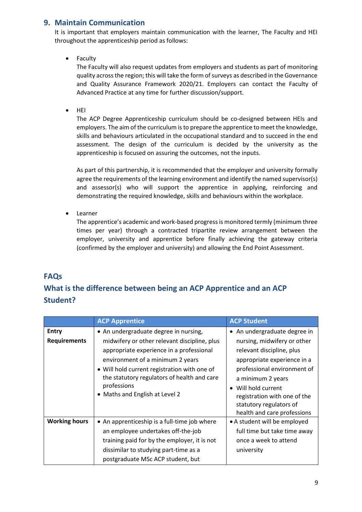# **9. Maintain Communication**

It is important that employers maintain communication with the learner, The Faculty and HEI throughout the apprenticeship period as follows:

Faculty

The Faculty will also request updates from employers and students as part of monitoring quality across the region; this will take the form of surveys as described in the Governance and Quality Assurance Framework 2020/21. Employers can contact the Faculty of Advanced Practice at any time for further discussion/support.

HEI

The ACP Degree Apprenticeship curriculum should be co-designed between HEIs and employers. The aim of the curriculum is to prepare the apprentice to meet the knowledge, skills and behaviours articulated in the occupational standard and to succeed in the end assessment. The design of the curriculum is decided by the university as the apprenticeship is focused on assuring the outcomes, not the inputs.

As part of this partnership, it is recommended that the employer and university formally agree the requirements of the learning environment and identify the named supervisor(s) and assessor(s) who will support the apprentice in applying, reinforcing and demonstrating the required knowledge, skills and behaviours within the workplace.

Learner

The apprentice's academic and work-based progress is monitored termly (minimum three times per year) through a contracted tripartite review arrangement between the employer, university and apprentice before finally achieving the gateway criteria (confirmed by the employer and university) and allowing the End Point Assessment.

# **FAQs**

# **What is the difference between being an ACP Apprentice and an ACP Student?**

|                      | <b>ACP Apprentice</b>                                                                                                                                                                                                                                                        | <b>ACP Student</b>                                                                                                                                                                                                                                         |
|----------------------|------------------------------------------------------------------------------------------------------------------------------------------------------------------------------------------------------------------------------------------------------------------------------|------------------------------------------------------------------------------------------------------------------------------------------------------------------------------------------------------------------------------------------------------------|
| <b>Entry</b>         | • An undergraduate degree in nursing,                                                                                                                                                                                                                                        | • An undergraduate degree in                                                                                                                                                                                                                               |
| <b>Requirements</b>  | midwifery or other relevant discipline, plus<br>appropriate experience in a professional<br>environment of a minimum 2 years<br>• Will hold current registration with one of<br>the statutory regulators of health and care<br>professions<br>• Maths and English at Level 2 | nursing, midwifery or other<br>relevant discipline, plus<br>appropriate experience in a<br>professional environment of<br>a minimum 2 years<br>Will hold current<br>registration with one of the<br>statutory regulators of<br>health and care professions |
| <b>Working hours</b> | • An apprenticeship is a full-time job where<br>an employee undertakes off-the-job<br>training paid for by the employer, it is not<br>dissimilar to studying part-time as a<br>postgraduate MSc ACP student, but                                                             | • A student will be employed<br>full time but take time away<br>once a week to attend<br>university                                                                                                                                                        |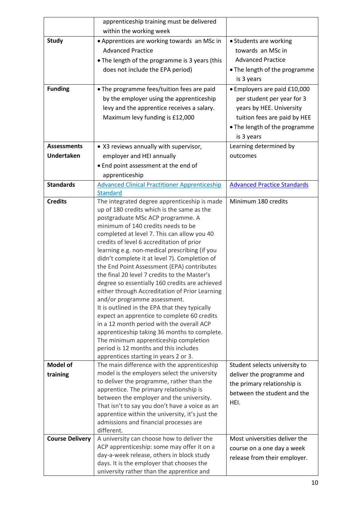|                        | apprenticeship training must be delivered                                                |                                    |
|------------------------|------------------------------------------------------------------------------------------|------------------------------------|
|                        | within the working week                                                                  |                                    |
| <b>Study</b>           | • Apprentices are working towards an MSc in                                              | • Students are working             |
|                        | <b>Advanced Practice</b>                                                                 | towards an MSc in                  |
|                        | • The length of the programme is 3 years (this                                           | <b>Advanced Practice</b>           |
|                        | does not include the EPA period)                                                         | • The length of the programme      |
|                        |                                                                                          | is 3 years                         |
| <b>Funding</b>         | • The programme fees/tuition fees are paid                                               | • Employers are paid £10,000       |
|                        | by the employer using the apprenticeship                                                 | per student per year for 3         |
|                        | levy and the apprentice receives a salary.                                               | years by HEE. University           |
|                        | Maximum levy funding is £12,000                                                          |                                    |
|                        |                                                                                          | tuition fees are paid by HEE       |
|                        |                                                                                          | • The length of the programme      |
|                        |                                                                                          | is 3 years                         |
| <b>Assessments</b>     | • X3 reviews annually with supervisor,                                                   | Learning determined by             |
| <b>Undertaken</b>      | employer and HEI annually                                                                | outcomes                           |
|                        | • End point assessment at the end of                                                     |                                    |
|                        | apprenticeship                                                                           |                                    |
| <b>Standards</b>       | <b>Advanced Clinical Practitioner Apprenticeship</b>                                     | <b>Advanced Practice Standards</b> |
|                        | <b>Standard</b>                                                                          |                                    |
| <b>Credits</b>         | The integrated degree apprenticeship is made                                             | Minimum 180 credits                |
|                        | up of 180 credits which is the same as the                                               |                                    |
|                        | postgraduate MSc ACP programme. A<br>minimum of 140 credits needs to be                  |                                    |
|                        | completed at level 7. This can allow you 40                                              |                                    |
|                        | credits of level 6 accreditation of prior                                                |                                    |
|                        | learning e.g. non-medical prescribing (if you                                            |                                    |
|                        | didn't complete it at level 7). Completion of                                            |                                    |
|                        | the End Point Assessment (EPA) contributes                                               |                                    |
|                        | the final 20 level 7 credits to the Master's                                             |                                    |
|                        | degree so essentially 160 credits are achieved                                           |                                    |
|                        | either through Accreditation of Prior Learning                                           |                                    |
|                        | and/or programme assessment.                                                             |                                    |
|                        | It is outlined in the EPA that they typically                                            |                                    |
|                        | expect an apprentice to complete 60 credits<br>in a 12 month period with the overall ACP |                                    |
|                        | apprenticeship taking 36 months to complete.                                             |                                    |
|                        | The minimum apprenticeship completion                                                    |                                    |
|                        | period is 12 months and this includes                                                    |                                    |
|                        | apprentices starting in years 2 or 3.                                                    |                                    |
| <b>Model of</b>        | The main difference with the apprenticeship                                              | Student selects university to      |
| training               | model is the employers select the university                                             | deliver the programme and          |
|                        | to deliver the programme, rather than the                                                | the primary relationship is        |
|                        | apprentice. The primary relationship is                                                  | between the student and the        |
|                        | between the employer and the university.                                                 | HEI.                               |
|                        | That isn't to say you don't have a voice as an                                           |                                    |
|                        | apprentice within the university, it's just the                                          |                                    |
|                        | admissions and financial processes are<br>different.                                     |                                    |
| <b>Course Delivery</b> | A university can choose how to deliver the                                               | Most universities deliver the      |
|                        | ACP apprenticeship: some may offer it on a                                               | course on a one day a week         |
|                        | day-a-week release, others in block study                                                | release from their employer.       |
|                        | days. It is the employer that chooses the                                                |                                    |
|                        | university rather than the apprentice and                                                |                                    |